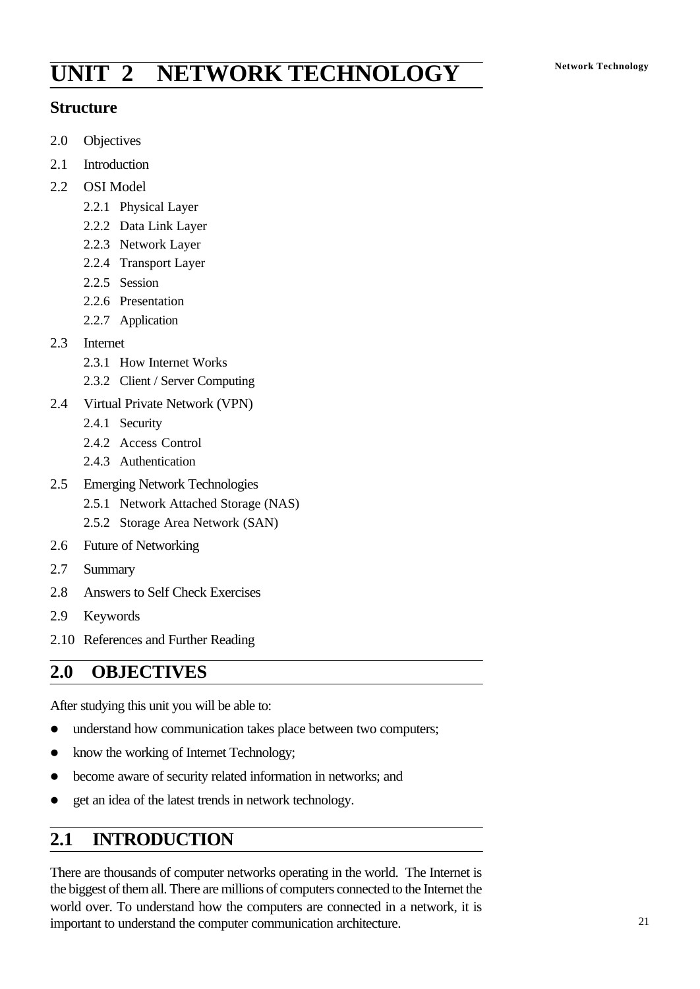# **Network Technology UNIT 2 NETWORK TECHNOLOGY**

### **Structure**

- 2.0 Objectives
- 2.1 Introduction
- 2.2 OSI Model
	- 2.2.1 Physical Layer
	- 2.2.2 Data Link Layer
	- 2.2.3 Network Layer
	- 2.2.4 Transport Layer
	- 2.2.5 Session
	- 2.2.6 Presentation
	- 2.2.7 Application

#### 2.3 Internet

- 2.3.1 How Internet Works
- 2.3.2 Client / Server Computing
- 2.4 Virtual Private Network (VPN)
	- 2.4.1 Security
	- 2.4.2 Access Control
	- 2.4.3 Authentication
- 2.5 Emerging Network Technologies
	- 2.5.1 Network Attached Storage (NAS)
	- 2.5.2 Storage Area Network (SAN)
- 2.6 Future of Networking
- 2.7 Summary
- 2.8 Answers to Self Check Exercises
- 2.9 Keywords
- 2.10 References and Further Reading

# **2.0 OBJECTIVES**

After studying this unit you will be able to:

- $\bullet$  understand how communication takes place between two computers;
- know the working of Internet Technology;
- become aware of security related information in networks; and
- get an idea of the latest trends in network technology.

# **2.1 INTRODUCTION**

There are thousands of computer networks operating in the world. The Internet is the biggest of them all. There are millions of computers connected to the Internet the world over. To understand how the computers are connected in a network, it is important to understand the computer communication architecture.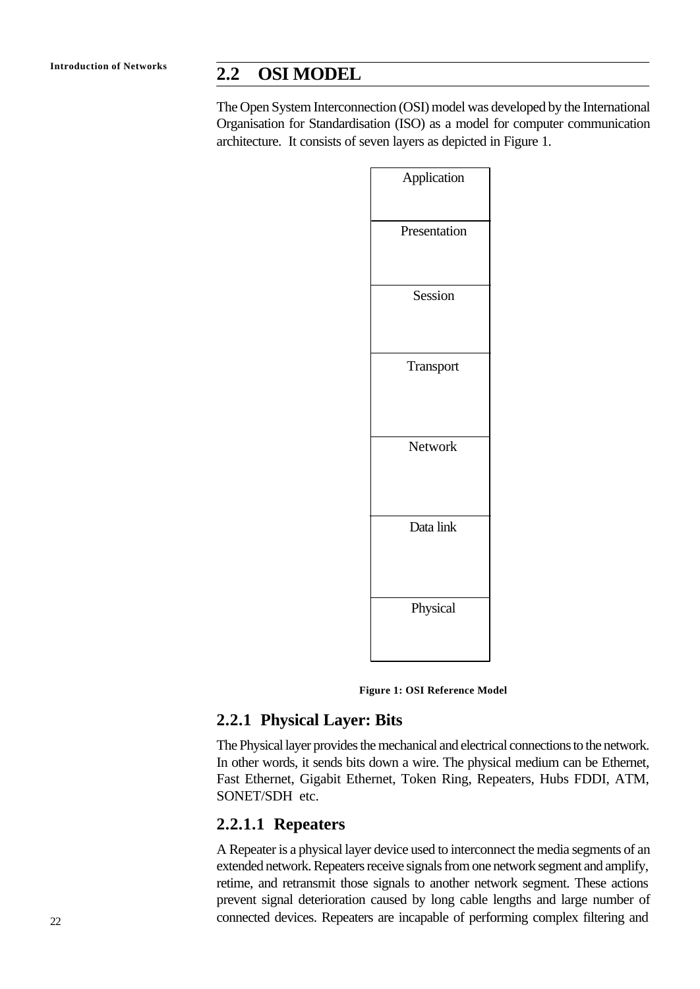# **Introduction of Networks 2.2 OSI MODEL**

The Open System Interconnection (OSI) model was developed by the International Organisation for Standardisation (ISO) as a model for computer communication architecture. It consists of seven layers as depicted in Figure 1.

| Application  |
|--------------|
| Presentation |
| Session      |
| Transport    |
| Network      |
| Data link    |
| Physical     |



#### **2.2.1 Physical Layer: Bits**

The Physical layer provides the mechanical and electrical connections to the network. In other words, it sends bits down a wire. The physical medium can be Ethernet, Fast Ethernet, Gigabit Ethernet, Token Ring, Repeaters, Hubs FDDI, ATM, SONET/SDH etc.

#### **2.2.1.1 Repeaters**

A Repeater is a physical layer device used to interconnect the media segments of an extended network. Repeaters receive signals from one network segment and amplify, retime, and retransmit those signals to another network segment. These actions prevent signal deterioration caused by long cable lengths and large number of connected devices. Repeaters are incapable of performing complex filtering and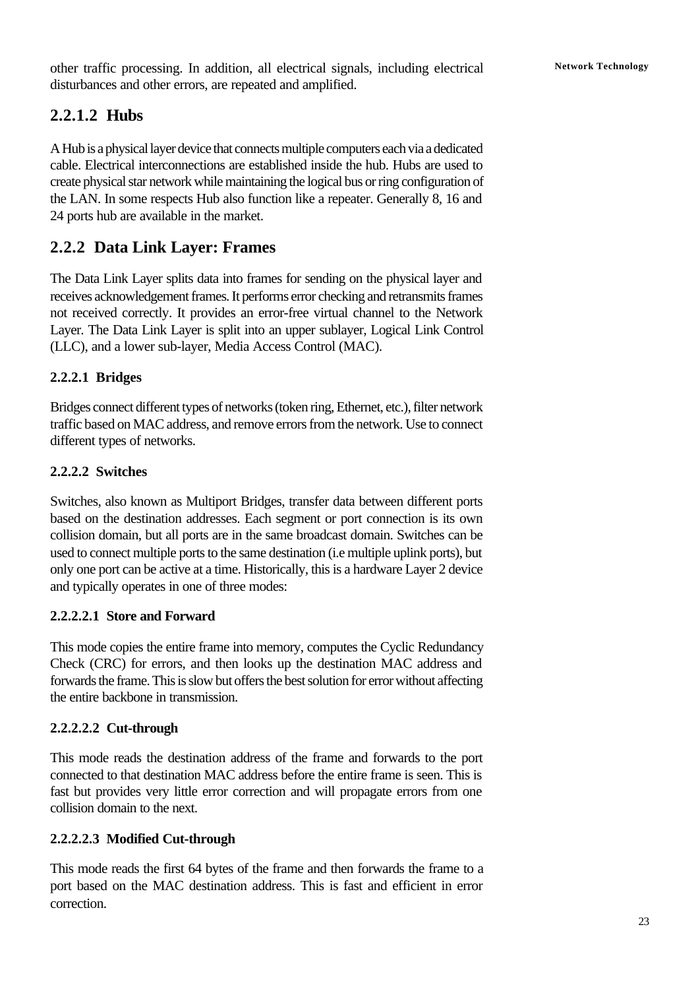other traffic processing. In addition, all electrical signals, including electrical **Network Technology** disturbances and other errors, are repeated and amplified.

# **2.2.1.2 Hubs**

A Hub is a physical layer device that connects multiple computers each via a dedicated cable. Electrical interconnections are established inside the hub. Hubs are used to create physical star network while maintaining the logical bus or ring configuration of the LAN. In some respects Hub also function like a repeater. Generally 8, 16 and 24 ports hub are available in the market.

### **2.2.2 Data Link Layer: Frames**

The Data Link Layer splits data into frames for sending on the physical layer and receives acknowledgement frames. It performs error checking and retransmits frames not received correctly. It provides an error-free virtual channel to the Network Layer. The Data Link Layer is split into an upper sublayer, Logical Link Control (LLC), and a lower sub-layer, Media Access Control (MAC).

### **2.2.2.1 Bridges**

Bridges connect different types of networks (token ring, Ethernet, etc.), filter network traffic based on MAC address, and remove errors from the network. Use to connect different types of networks.

### **2.2.2.2 Switches**

Switches, also known as Multiport Bridges, transfer data between different ports based on the destination addresses. Each segment or port connection is its own collision domain, but all ports are in the same broadcast domain. Switches can be used to connect multiple ports to the same destination (i.e multiple uplink ports), but only one port can be active at a time. Historically, this is a hardware Layer 2 device and typically operates in one of three modes:

### **2.2.2.2.1 Store and Forward**

This mode copies the entire frame into memory, computes the Cyclic Redundancy Check (CRC) for errors, and then looks up the destination MAC address and forwards the frame. This is slow but offers the best solution for error without affecting the entire backbone in transmission.

### **2.2.2.2.2 Cut-through**

This mode reads the destination address of the frame and forwards to the port connected to that destination MAC address before the entire frame is seen. This is fast but provides very little error correction and will propagate errors from one collision domain to the next.

### **2.2.2.2.3 Modified Cut-through**

This mode reads the first 64 bytes of the frame and then forwards the frame to a port based on the MAC destination address. This is fast and efficient in error correction.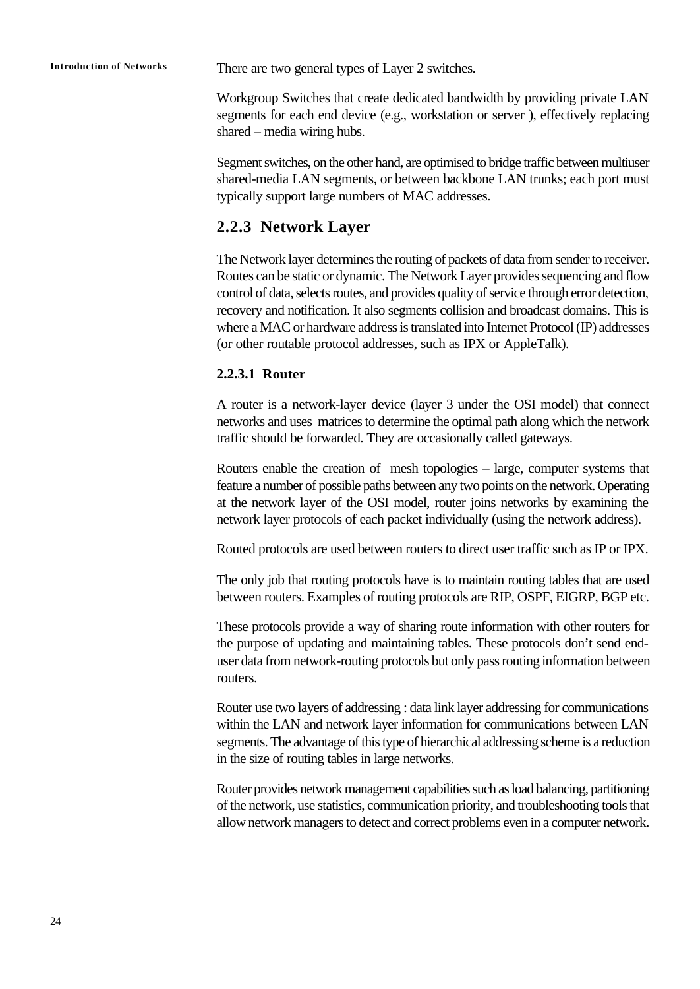**Introduction of Networks** There are two general types of Layer 2 switches.

Workgroup Switches that create dedicated bandwidth by providing private LAN segments for each end device (e.g., workstation or server ), effectively replacing shared – media wiring hubs.

Segment switches, on the other hand, are optimised to bridge traffic between multiuser shared-media LAN segments, or between backbone LAN trunks; each port must typically support large numbers of MAC addresses.

### **2.2.3 Network Layer**

The Network layer determines the routing of packets of data from sender to receiver. Routes can be static or dynamic. The Network Layer provides sequencing and flow control of data, selects routes, and provides quality of service through error detection, recovery and notification. It also segments collision and broadcast domains. This is where a MAC or hardware address is translated into Internet Protocol (IP) addresses (or other routable protocol addresses, such as IPX or AppleTalk).

### **2.2.3.1 Router**

A router is a network-layer device (layer 3 under the OSI model) that connect networks and uses matrices to determine the optimal path along which the network traffic should be forwarded. They are occasionally called gateways.

Routers enable the creation of mesh topologies – large, computer systems that feature a number of possible paths between any two points on the network. Operating at the network layer of the OSI model, router joins networks by examining the network layer protocols of each packet individually (using the network address).

Routed protocols are used between routers to direct user traffic such as IP or IPX.

The only job that routing protocols have is to maintain routing tables that are used between routers. Examples of routing protocols are RIP, OSPF, EIGRP, BGP etc.

These protocols provide a way of sharing route information with other routers for the purpose of updating and maintaining tables. These protocols don't send enduser data from network-routing protocols but only pass routing information between routers.

Router use two layers of addressing : data link layer addressing for communications within the LAN and network layer information for communications between LAN segments. The advantage of this type of hierarchical addressing scheme is a reduction in the size of routing tables in large networks.

Router provides network management capabilities such as load balancing, partitioning of the network, use statistics, communication priority, and troubleshooting tools that allow network managers to detect and correct problems even in a computer network.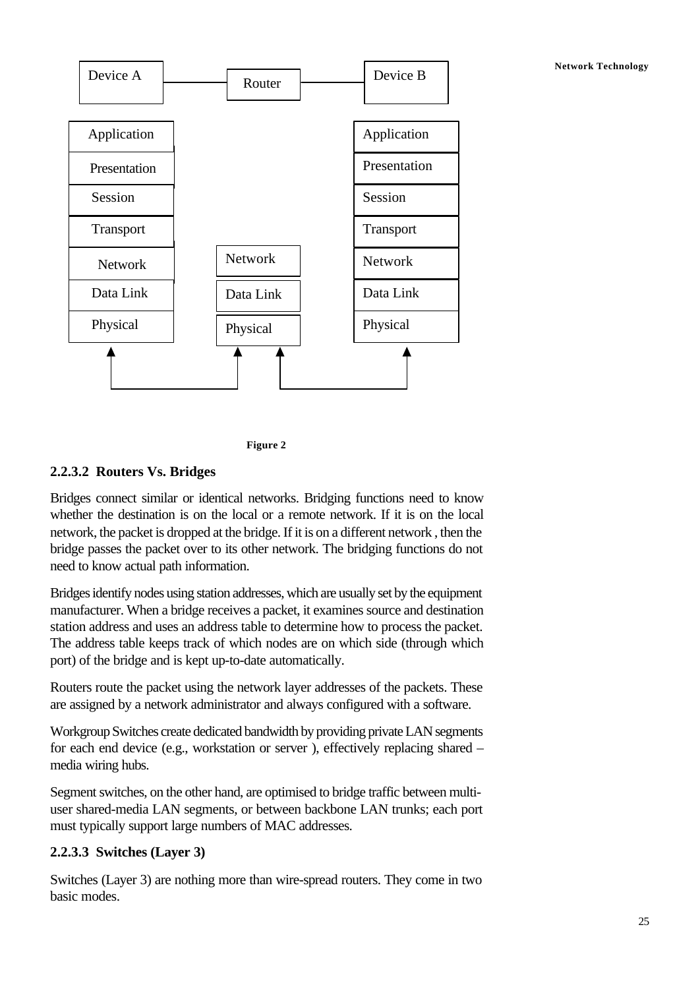



### **2.2.3.2 Routers Vs. Bridges**

Bridges connect similar or identical networks. Bridging functions need to know whether the destination is on the local or a remote network. If it is on the local network, the packet is dropped at the bridge. If it is on a different network , then the bridge passes the packet over to its other network. The bridging functions do not need to know actual path information.

Bridges identify nodes using station addresses, which are usually set by the equipment manufacturer. When a bridge receives a packet, it examines source and destination station address and uses an address table to determine how to process the packet. The address table keeps track of which nodes are on which side (through which port) of the bridge and is kept up-to-date automatically.

Routers route the packet using the network layer addresses of the packets. These are assigned by a network administrator and always configured with a software.

Workgroup Switches create dedicated bandwidth by providing private LAN segments for each end device (e.g., workstation or server ), effectively replacing shared – media wiring hubs.

Segment switches, on the other hand, are optimised to bridge traffic between multiuser shared-media LAN segments, or between backbone LAN trunks; each port must typically support large numbers of MAC addresses.

### **2.2.3.3 Switches (Layer 3)**

Switches (Layer 3) are nothing more than wire-spread routers. They come in two basic modes.

**Network Technology**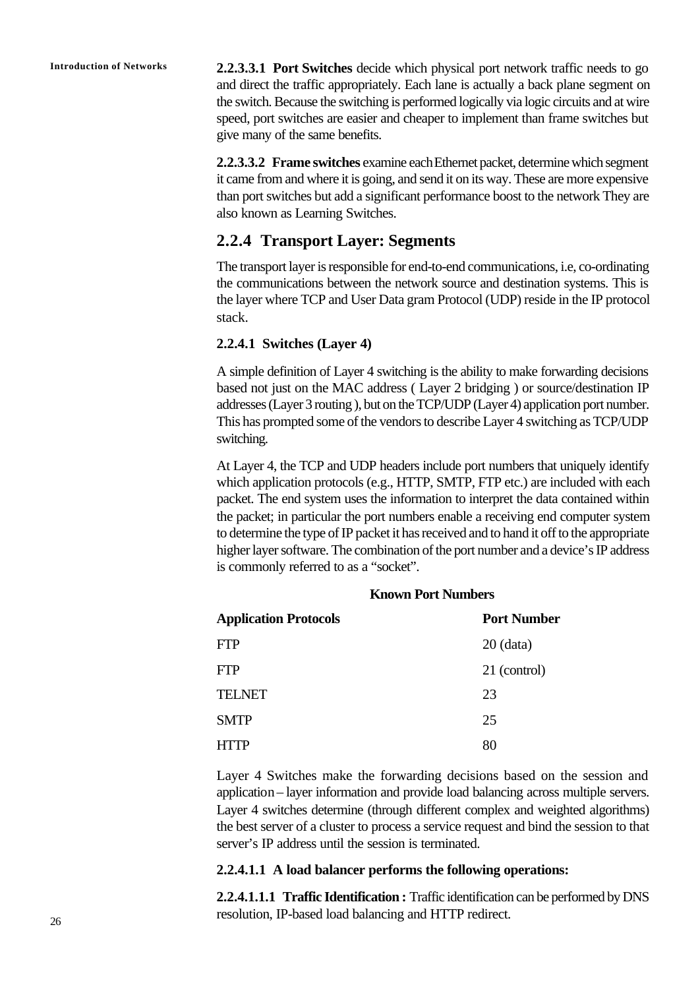**Introduction of Networks 2.2.3.3.1 Port Switches** decide which physical port network traffic needs to go and direct the traffic appropriately. Each lane is actually a back plane segment on the switch. Because the switching is performed logically via logic circuits and at wire speed, port switches are easier and cheaper to implement than frame switches but give many of the same benefits.

> **2.2.3.3.2 Frame switches** examine each Ethernet packet, determine which segment it came from and where it is going, and send it on its way. These are more expensive than port switches but add a significant performance boost to the network They are also known as Learning Switches.

### **2.2.4 Transport Layer: Segments**

The transport layer is responsible for end-to-end communications, i.e, co-ordinating the communications between the network source and destination systems. This is the layer where TCP and User Data gram Protocol (UDP) reside in the IP protocol stack.

#### **2.2.4.1 Switches (Layer 4)**

A simple definition of Layer 4 switching is the ability to make forwarding decisions based not just on the MAC address ( Layer 2 bridging ) or source/destination IP addresses (Layer 3 routing ), but on the TCP/UDP (Layer 4) application port number. This has prompted some of the vendors to describe Layer 4 switching as TCP/UDP switching.

At Layer 4, the TCP and UDP headers include port numbers that uniquely identify which application protocols (e.g., HTTP, SMTP, FTP etc.) are included with each packet. The end system uses the information to interpret the data contained within the packet; in particular the port numbers enable a receiving end computer system to determine the type of IP packet it has received and to hand it off to the appropriate higher layer software. The combination of the port number and a device's IP address is commonly referred to as a "socket".

**Known Port Numbers**

| <b>Application Protocols</b> | <b>Port Number</b> |
|------------------------------|--------------------|
| <b>FTP</b>                   | $20$ (data)        |
| <b>FTP</b>                   | 21 (control)       |
| <b>TELNET</b>                | 23                 |
| <b>SMTP</b>                  | 25                 |
| TР                           | 80                 |

Layer 4 Switches make the forwarding decisions based on the session and application– layer information and provide load balancing across multiple servers. Layer 4 switches determine (through different complex and weighted algorithms) the best server of a cluster to process a service request and bind the session to that server's IP address until the session is terminated.

#### **2.2.4.1.1 A load balancer performs the following operations:**

**2.2.4.1.1.1 Traffic Identification :** Traffic identification can be performed by DNS resolution, IP-based load balancing and HTTP redirect.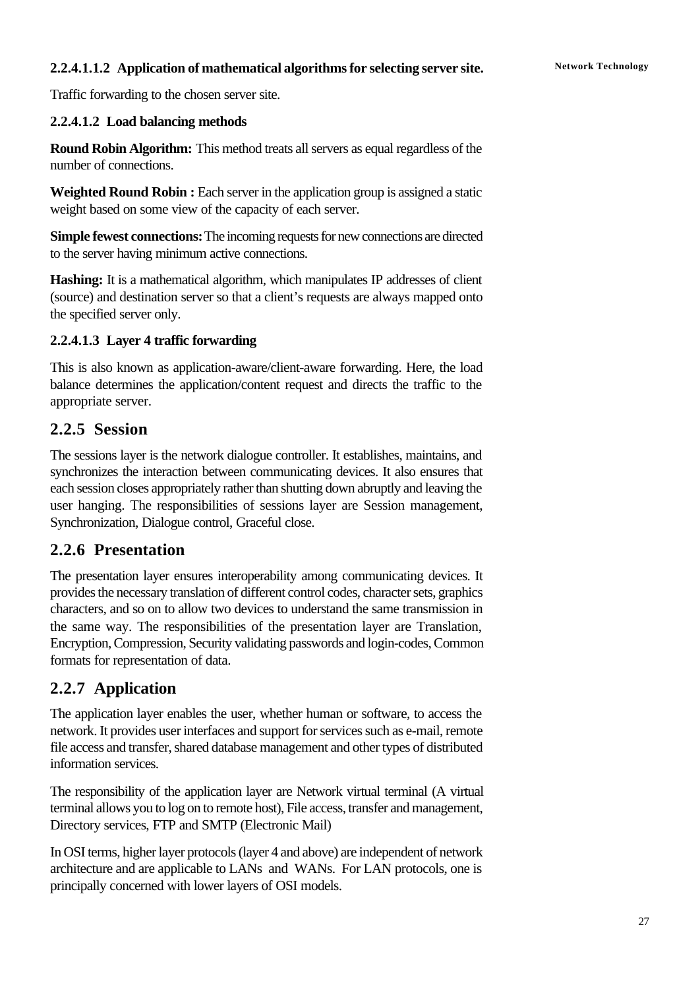#### **2.2.4.1.1.2 Application of mathematical algorithms for selecting server site. Network Technology**

Traffic forwarding to the chosen server site.

#### **2.2.4.1.2 Load balancing methods**

**Round Robin Algorithm:** This method treats all servers as equal regardless of the number of connections.

**Weighted Round Robin :** Each server in the application group is assigned a static weight based on some view of the capacity of each server.

**Simple fewest connections:** The incoming requests for new connections are directed to the server having minimum active connections.

**Hashing:** It is a mathematical algorithm, which manipulates IP addresses of client (source) and destination server so that a client's requests are always mapped onto the specified server only.

#### **2.2.4.1.3 Layer 4 traffic forwarding**

This is also known as application-aware/client-aware forwarding. Here, the load balance determines the application/content request and directs the traffic to the appropriate server.

### **2.2.5 Session**

The sessions layer is the network dialogue controller. It establishes, maintains, and synchronizes the interaction between communicating devices. It also ensures that each session closes appropriately rather than shutting down abruptly and leaving the user hanging. The responsibilities of sessions layer are Session management, Synchronization, Dialogue control, Graceful close.

### **2.2.6 Presentation**

The presentation layer ensures interoperability among communicating devices. It provides the necessary translation of different control codes, character sets, graphics characters, and so on to allow two devices to understand the same transmission in the same way. The responsibilities of the presentation layer are Translation, Encryption, Compression, Security validating passwords and login-codes, Common formats for representation of data.

### **2.2.7 Application**

The application layer enables the user, whether human or software, to access the network. It provides user interfaces and support for services such as e-mail, remote file access and transfer, shared database management and other types of distributed information services.

The responsibility of the application layer are Network virtual terminal (A virtual terminal allows you to log on to remote host), File access, transfer and management, Directory services, FTP and SMTP (Electronic Mail)

In OSI terms, higher layer protocols (layer 4 and above) are independent of network architecture and are applicable to LANs and WANs. For LAN protocols, one is principally concerned with lower layers of OSI models.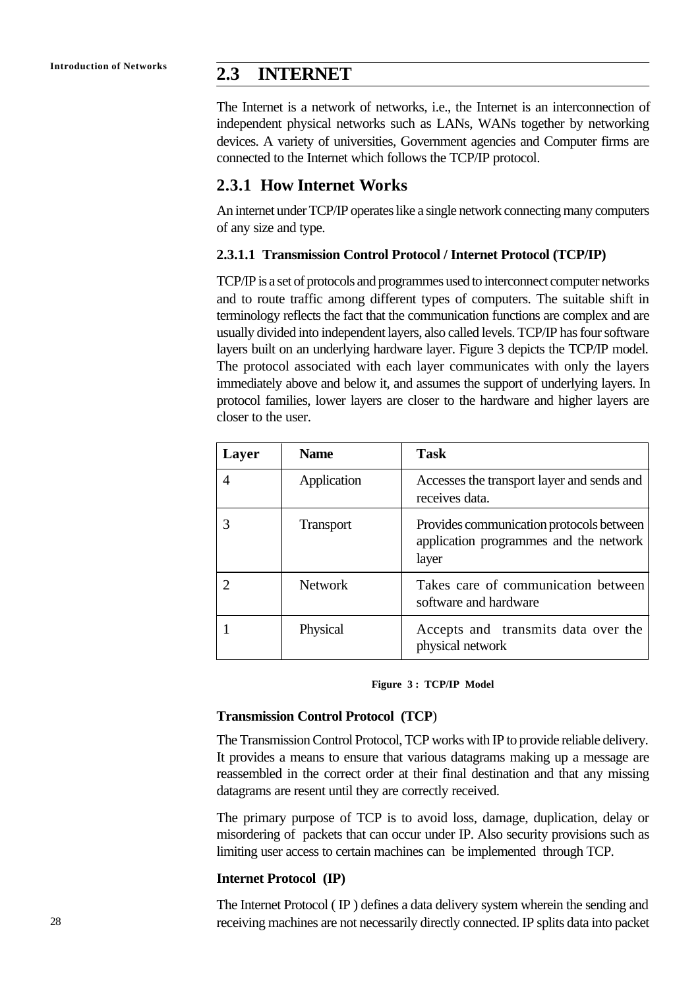# **Introduction of Networks 2.3 INTERNET**

The Internet is a network of networks, i.e., the Internet is an interconnection of independent physical networks such as LANs, WANs together by networking devices. A variety of universities, Government agencies and Computer firms are connected to the Internet which follows the TCP/IP protocol.

### **2.3.1 How Internet Works**

An internet under TCP/IP operates like a single network connecting many computers of any size and type.

#### **2.3.1.1 Transmission Control Protocol / Internet Protocol (TCP/IP)**

TCP/IP is a set of protocols and programmes used to interconnect computer networks and to route traffic among different types of computers. The suitable shift in terminology reflects the fact that the communication functions are complex and are usually divided into independent layers, also called levels. TCP/IP has four software layers built on an underlying hardware layer. Figure 3 depicts the TCP/IP model. The protocol associated with each layer communicates with only the layers immediately above and below it, and assumes the support of underlying layers. In protocol families, lower layers are closer to the hardware and higher layers are closer to the user.

| Layer | <b>Name</b>      | <b>Task</b>                                                                                 |
|-------|------------------|---------------------------------------------------------------------------------------------|
| 4     | Application      | Accesses the transport layer and sends and<br>receives data.                                |
|       | <b>Transport</b> | Provides communication protocols between<br>application programmes and the network<br>layer |
|       | <b>Network</b>   | Takes care of communication between<br>software and hardware                                |
|       | Physical         | Accepts and transmits data over the<br>physical network                                     |

#### **Figure 3 : TCP/IP Model**

#### **Transmission Control Protocol (TCP**)

The Transmission Control Protocol, TCP works with IP to provide reliable delivery. It provides a means to ensure that various datagrams making up a message are reassembled in the correct order at their final destination and that any missing datagrams are resent until they are correctly received.

The primary purpose of TCP is to avoid loss, damage, duplication, delay or misordering of packets that can occur under IP. Also security provisions such as limiting user access to certain machines can be implemented through TCP.

#### **Internet Protocol (IP)**

The Internet Protocol ( IP ) defines a data delivery system wherein the sending and receiving machines are not necessarily directly connected. IP splits data into packet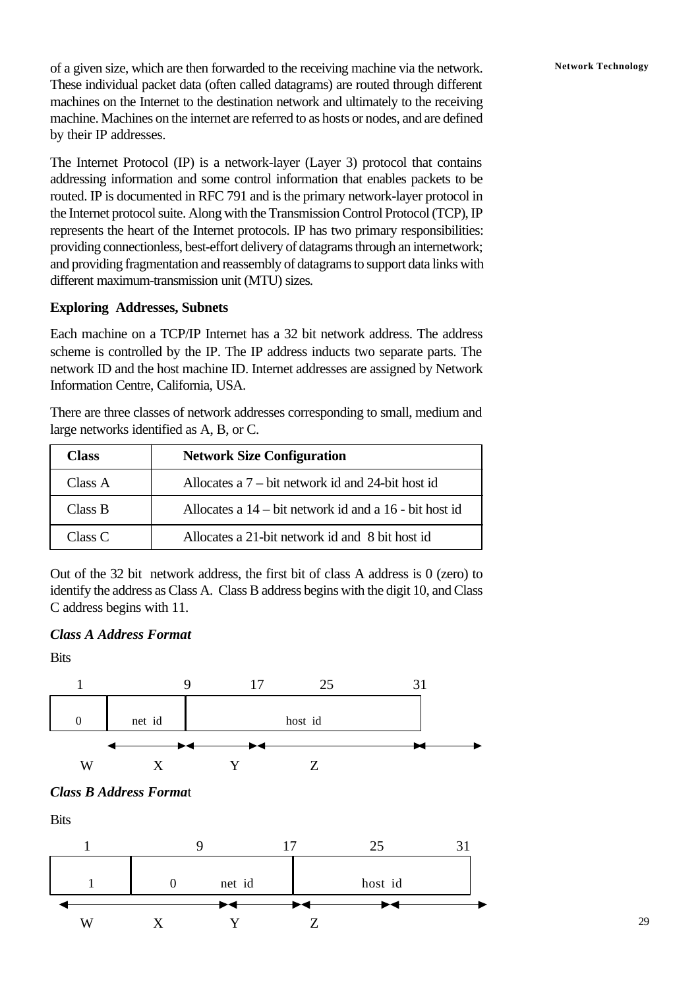of a given size, which are then forwarded to the receiving machine via the network. **Network Technology** These individual packet data (often called datagrams) are routed through different machines on the Internet to the destination network and ultimately to the receiving machine. Machines on the internet are referred to as hosts or nodes, and are defined by their IP addresses.

The Internet Protocol (IP) is a network-layer (Layer 3) protocol that contains addressing information and some control information that enables packets to be routed. IP is documented in RFC 791 and is the primary network-layer protocol in the Internet protocol suite. Along with the Transmission Control Protocol (TCP), IP represents the heart of the Internet protocols. IP has two primary responsibilities: providing connectionless, best-effort delivery of datagrams through an internetwork; and providing fragmentation and reassembly of datagrams to support data links with different maximum-transmission unit (MTU) sizes.

#### **Exploring Addresses, Subnets**

Each machine on a TCP/IP Internet has a 32 bit network address. The address scheme is controlled by the IP. The IP address inducts two separate parts. The network ID and the host machine ID. Internet addresses are assigned by Network Information Centre, California, USA.

There are three classes of network addresses corresponding to small, medium and large networks identified as A, B, or C.

| <b>Class</b> | <b>Network Size Configuration</b>                          |  |
|--------------|------------------------------------------------------------|--|
| Class A      | Allocates a $7 - bit$ network id and 24-bit host id        |  |
| Class B      | Allocates a $14$ – bit network id and a $16$ - bit host id |  |
| Class C      | Allocates a 21-bit network id and 8 bit host id            |  |

Out of the 32 bit network address, the first bit of class A address is 0 (zero) to identify the address as Class A. Class B address begins with the digit 10, and Class C address begins with 11.

#### *Class A Address Format*

**Bits** 

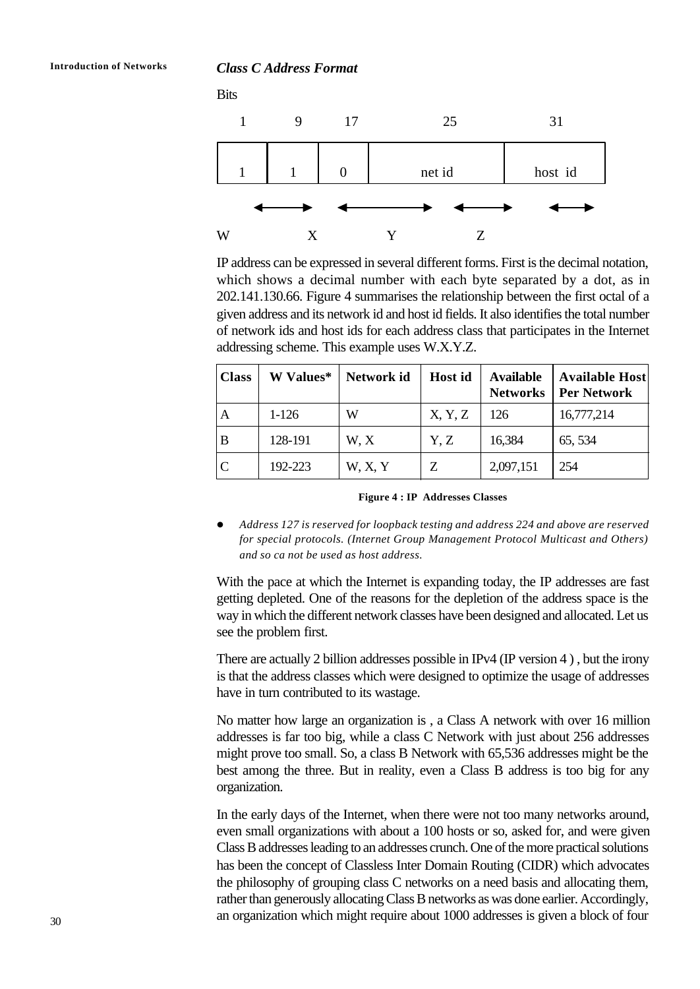#### **Introduction of Networks** *Class C Address Format*

**Bits** 



IP address can be expressed in several different forms. First is the decimal notation, which shows a decimal number with each byte separated by a dot, as in 202.141.130.66. Figure 4 summarises the relationship between the first octal of a given address and its network id and host id fields. It also identifies the total number of network ids and host ids for each address class that participates in the Internet addressing scheme. This example uses W.X.Y.Z.

| <b>Class</b> | <b>W</b> Values* | Network id | Host id | <b>Available</b><br><b>Networks</b> | <b>Available Host</b><br><b>Per Network</b> |
|--------------|------------------|------------|---------|-------------------------------------|---------------------------------------------|
| A            | $1-126$          | W          | X, Y, Z | 126                                 | 16,777,214                                  |
| B            | 128-191          | W.X        | Y, Z    | 16,384                              | 65, 534                                     |
| C            | 192-223          | W, X, Y    | Z       | 2,097,151                           | 254                                         |

| <b>Figure 4 : IP Addresses Classes</b> |  |  |
|----------------------------------------|--|--|
|----------------------------------------|--|--|

l *Address 127 is reserved for loopback testing and address 224 and above are reserved for special protocols. (Internet Group Management Protocol Multicast and Others) and so ca not be used as host address.*

With the pace at which the Internet is expanding today, the IP addresses are fast getting depleted. One of the reasons for the depletion of the address space is the way in which the different network classes have been designed and allocated. Let us see the problem first.

There are actually 2 billion addresses possible in IPv4 (IP version 4 ) , but the irony is that the address classes which were designed to optimize the usage of addresses have in turn contributed to its wastage.

No matter how large an organization is , a Class A network with over 16 million addresses is far too big, while a class C Network with just about 256 addresses might prove too small. So, a class B Network with 65,536 addresses might be the best among the three. But in reality, even a Class B address is too big for any organization.

In the early days of the Internet, when there were not too many networks around, even small organizations with about a 100 hosts or so, asked for, and were given Class B addresses leading to an addresses crunch. One of the more practical solutions has been the concept of Classless Inter Domain Routing (CIDR) which advocates the philosophy of grouping class C networks on a need basis and allocating them, rather than generously allocating Class B networks as was done earlier. Accordingly, an organization which might require about 1000 addresses is given a block of four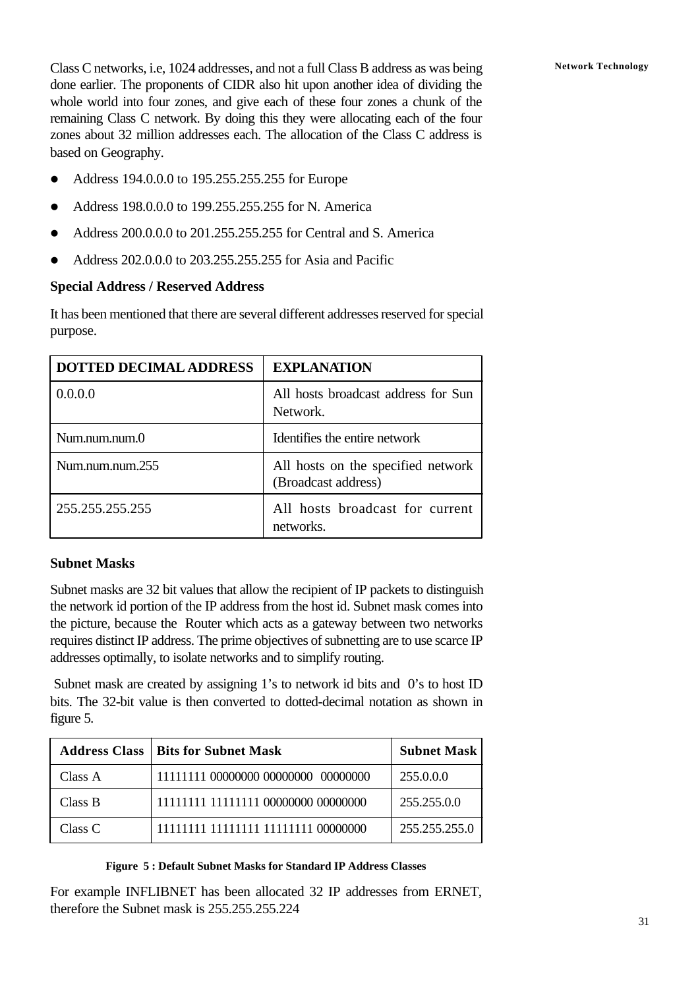Class C networks, i.e, 1024 addresses, and not a full Class B address as was being **Network Technology** done earlier. The proponents of CIDR also hit upon another idea of dividing the whole world into four zones, and give each of these four zones a chunk of the remaining Class C network. By doing this they were allocating each of the four zones about 32 million addresses each. The allocation of the Class C address is based on Geography.

- l Address 194.0.0.0 to 195.255.255.255 for Europe
- Address 198.0.0.0 to 199.255.255.255 for N. America
- l Address 200.0.0.0 to 201.255.255.255 for Central and S. America
- l Address 202.0.0.0 to 203.255.255.255 for Asia and Pacific

#### **Special Address / Reserved Address**

It has been mentioned that there are several different addresses reserved for special purpose.

| <b>DOTTED DECIMAL ADDRESS</b> | <b>EXPLANATION</b>                                        |
|-------------------------------|-----------------------------------------------------------|
| 0.0.0.0                       | All hosts broadcast address for Sun<br>Network.           |
| Num.num.num.0                 | Identifies the entire network                             |
| Num.num.num.255               | All hosts on the specified network<br>(Broadcast address) |
| 255.255.255.255               | All hosts broadcast for current<br>networks.              |

#### **Subnet Masks**

Subnet masks are 32 bit values that allow the recipient of IP packets to distinguish the network id portion of the IP address from the host id. Subnet mask comes into the picture, because the Router which acts as a gateway between two networks requires distinct IP address. The prime objectives of subnetting are to use scarce IP addresses optimally, to isolate networks and to simplify routing.

Subnet mask are created by assigning 1's to network id bits and 0's to host ID bits. The 32-bit value is then converted to dotted-decimal notation as shown in figure 5.

| <b>Address Class</b> | Bits for Subnet Mask                | <b>Subnet Mask</b> |
|----------------------|-------------------------------------|--------------------|
| Class A              | 11111111 00000000 00000000 00000000 | 255.0.0.0          |
| Class B              | 11111111 11111111 00000000 00000000 | 255.255.0.0        |
| Class C              | 11111111 11111111 11111111 00000000 | 255.255.255.0      |

#### **Figure 5 : Default Subnet Masks for Standard IP Address Classes**

For example INFLIBNET has been allocated 32 IP addresses from ERNET, therefore the Subnet mask is 255.255.255.224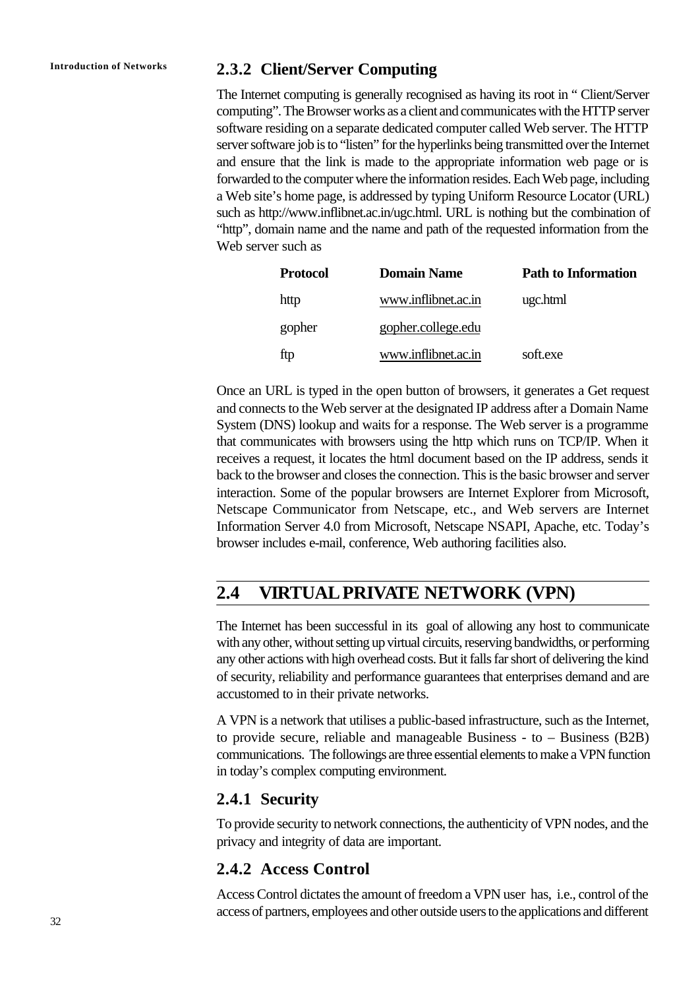### **Introduction of Networks 2.3.2 Client/Server Computing**

The Internet computing is generally recognised as having its root in " Client/Server computing". The Browser works as a client and communicates with the HTTP server software residing on a separate dedicated computer called Web server. The HTTP server software job is to "listen" for the hyperlinks being transmitted over the Internet and ensure that the link is made to the appropriate information web page or is forwarded to the computer where the information resides. Each Web page, including a Web site's home page, is addressed by typing Uniform Resource Locator (URL) such as http://www.inflibnet.ac.in/ugc.html. URL is nothing but the combination of "http", domain name and the name and path of the requested information from the Web server such as

| <b>Protocol</b> | <b>Domain Name</b>  | <b>Path to Information</b> |
|-----------------|---------------------|----------------------------|
| http            | www.inflibnet.ac.in | ugc.html                   |
| gopher          | gopher.college.edu  |                            |
| ftp             | www.inflibnet.ac.in | soft.exe                   |

Once an URL is typed in the open button of browsers, it generates a Get request and connects to the Web server at the designated IP address after a Domain Name System (DNS) lookup and waits for a response. The Web server is a programme that communicates with browsers using the http which runs on TCP/IP. When it receives a request, it locates the html document based on the IP address, sends it back to the browser and closes the connection. This is the basic browser and server interaction. Some of the popular browsers are Internet Explorer from Microsoft, Netscape Communicator from Netscape, etc., and Web servers are Internet Information Server 4.0 from Microsoft, Netscape NSAPI, Apache, etc. Today's browser includes e-mail, conference, Web authoring facilities also.

### **2.4 VIRTUAL PRIVATE NETWORK (VPN)**

The Internet has been successful in its goal of allowing any host to communicate with any other, without setting up virtual circuits, reserving bandwidths, or performing any other actions with high overhead costs. But it falls far short of delivering the kind of security, reliability and performance guarantees that enterprises demand and are accustomed to in their private networks.

A VPN is a network that utilises a public-based infrastructure, such as the Internet, to provide secure, reliable and manageable Business - to – Business (B2B) communications. The followings are three essential elements to make a VPN function in today's complex computing environment.

### **2.4.1 Security**

To provide security to network connections, the authenticity of VPN nodes, and the privacy and integrity of data are important.

### **2.4.2 Access Control**

Access Control dictates the amount of freedom a VPN user has, i.e., control of the access of partners, employees and other outside users to the applications and different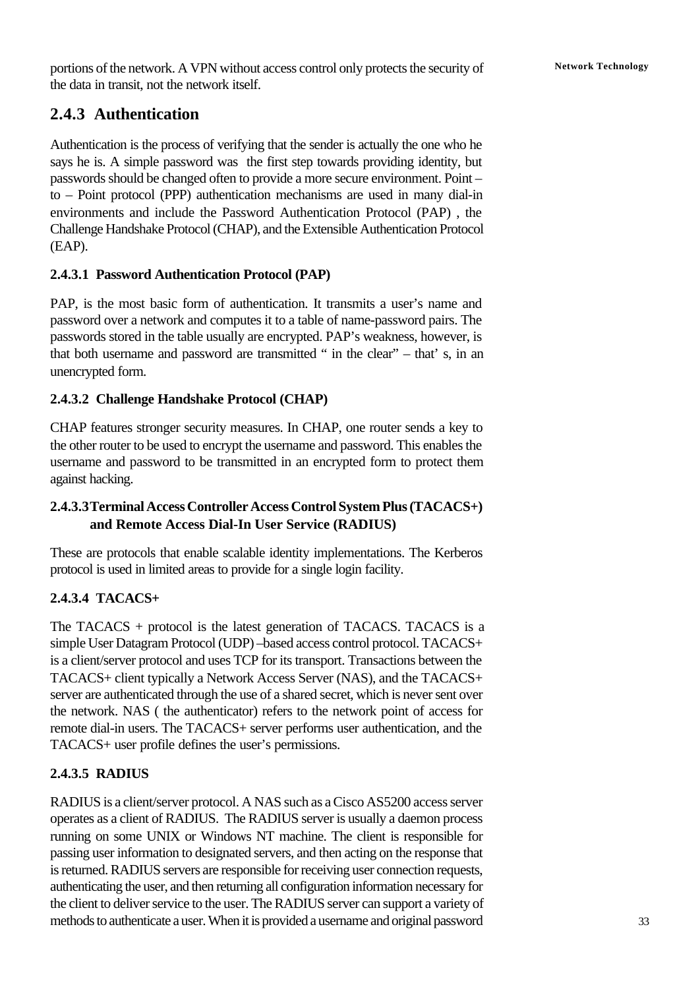portions of the network. A VPN without access control only protects the security of **Network Technology** the data in transit, not the network itself.

### **2.4.3 Authentication**

Authentication is the process of verifying that the sender is actually the one who he says he is. A simple password was the first step towards providing identity, but passwords should be changed often to provide a more secure environment. Point – to – Point protocol (PPP) authentication mechanisms are used in many dial-in environments and include the Password Authentication Protocol (PAP) , the Challenge Handshake Protocol (CHAP), and the Extensible Authentication Protocol (EAP).

### **2.4.3.1 Password Authentication Protocol (PAP)**

PAP, is the most basic form of authentication. It transmits a user's name and password over a network and computes it to a table of name-password pairs. The passwords stored in the table usually are encrypted. PAP's weakness, however, is that both username and password are transmitted " in the clear" – that' s, in an unencrypted form.

### **2.4.3.2 Challenge Handshake Protocol (CHAP)**

CHAP features stronger security measures. In CHAP, one router sends a key to the other router to be used to encrypt the username and password. This enables the username and password to be transmitted in an encrypted form to protect them against hacking.

### **2.4.3.3Terminal Access Controller Access Control System Plus (TACACS+) and Remote Access Dial-In User Service (RADIUS)**

These are protocols that enable scalable identity implementations. The Kerberos protocol is used in limited areas to provide for a single login facility.

### **2.4.3.4 TACACS+**

The TACACS + protocol is the latest generation of TACACS. TACACS is a simple User Datagram Protocol (UDP) –based access control protocol. TACACS+ is a client/server protocol and uses TCP for its transport. Transactions between the TACACS+ client typically a Network Access Server (NAS), and the TACACS+ server are authenticated through the use of a shared secret, which is never sent over the network. NAS ( the authenticator) refers to the network point of access for remote dial-in users. The TACACS+ server performs user authentication, and the TACACS+ user profile defines the user's permissions.

### **2.4.3.5 RADIUS**

RADIUS is a client/server protocol. A NAS such as a Cisco AS5200 access server operates as a client of RADIUS. The RADIUS server is usually a daemon process running on some UNIX or Windows NT machine. The client is responsible for passing user information to designated servers, and then acting on the response that is returned. RADIUS servers are responsible for receiving user connection requests, authenticating the user, and then returning all configuration information necessary for the client to deliver service to the user. The RADIUS server can support a variety of methods to authenticate a user. When it is provided a username and original password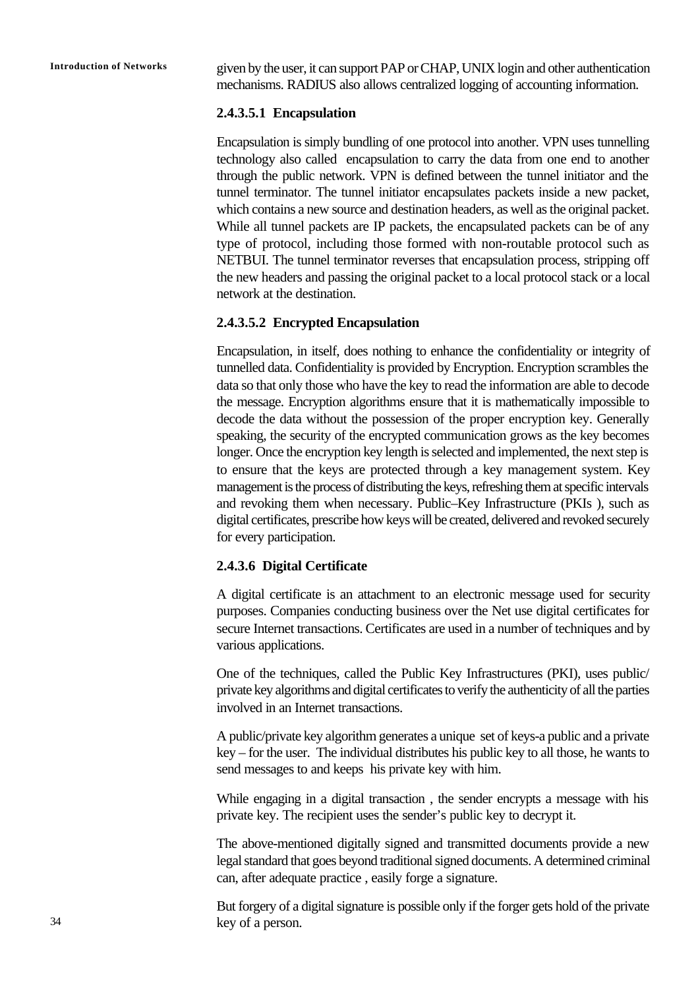**Introduction of Networks** given by the user, it can support PAP or CHAP, UNIX login and other authentication mechanisms. RADIUS also allows centralized logging of accounting information.

#### **2.4.3.5.1 Encapsulation**

Encapsulation is simply bundling of one protocol into another. VPN uses tunnelling technology also called encapsulation to carry the data from one end to another through the public network. VPN is defined between the tunnel initiator and the tunnel terminator. The tunnel initiator encapsulates packets inside a new packet, which contains a new source and destination headers, as well as the original packet. While all tunnel packets are IP packets, the encapsulated packets can be of any type of protocol, including those formed with non-routable protocol such as NETBUI. The tunnel terminator reverses that encapsulation process, stripping off the new headers and passing the original packet to a local protocol stack or a local network at the destination.

#### **2.4.3.5.2 Encrypted Encapsulation**

Encapsulation, in itself, does nothing to enhance the confidentiality or integrity of tunnelled data. Confidentiality is provided by Encryption. Encryption scrambles the data so that only those who have the key to read the information are able to decode the message. Encryption algorithms ensure that it is mathematically impossible to decode the data without the possession of the proper encryption key. Generally speaking, the security of the encrypted communication grows as the key becomes longer. Once the encryption key length is selected and implemented, the next step is to ensure that the keys are protected through a key management system. Key management is the process of distributing the keys, refreshing them at specific intervals and revoking them when necessary. Public–Key Infrastructure (PKIs ), such as digital certificates, prescribe how keys will be created, delivered and revoked securely for every participation.

#### **2.4.3.6 Digital Certificate**

A digital certificate is an attachment to an electronic message used for security purposes. Companies conducting business over the Net use digital certificates for secure Internet transactions. Certificates are used in a number of techniques and by various applications.

One of the techniques, called the Public Key Infrastructures (PKI), uses public/ private key algorithms and digital certificates to verify the authenticity of all the parties involved in an Internet transactions.

A public/private key algorithm generates a unique set of keys-a public and a private key – for the user. The individual distributes his public key to all those, he wants to send messages to and keeps his private key with him.

While engaging in a digital transaction , the sender encrypts a message with his private key. The recipient uses the sender's public key to decrypt it.

The above-mentioned digitally signed and transmitted documents provide a new legal standard that goes beyond traditional signed documents. A determined criminal can, after adequate practice , easily forge a signature.

But forgery of a digital signature is possible only if the forger gets hold of the private key of a person.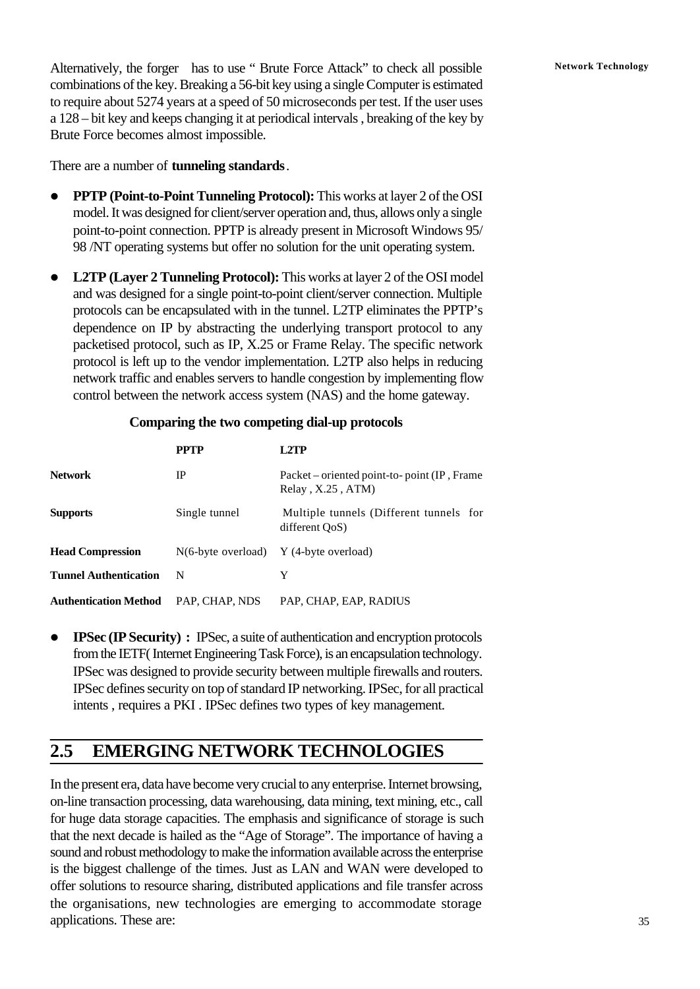Alternatively, the forger has to use " Brute Force Attack" to check all possible **Network Technology** combinations of the key. Breaking a 56-bit key using a single Computer is estimated to require about 5274 years at a speed of 50 microseconds per test. If the user uses a 128 – bit key and keeps changing it at periodical intervals , breaking of the key by Brute Force becomes almost impossible.

There are a number of **tunneling standards**.

- **PPTP (Point-to-Point Tunneling Protocol):** This works at layer 2 of the OSI model. It was designed for client/server operation and, thus, allows only a single point-to-point connection. PPTP is already present in Microsoft Windows 95/ 98 /NT operating systems but offer no solution for the unit operating system.
- **L2TP (Layer 2 Tunneling Protocol):** This works at layer 2 of the OSI model and was designed for a single point-to-point client/server connection. Multiple protocols can be encapsulated with in the tunnel. L2TP eliminates the PPTP's dependence on IP by abstracting the underlying transport protocol to any packetised protocol, such as IP, X.25 or Frame Relay. The specific network protocol is left up to the vendor implementation. L2TP also helps in reducing network traffic and enables servers to handle congestion by implementing flow control between the network access system (NAS) and the home gateway.

|                              | <b>PPTP</b>    | $1.2$ TP                                                                 |
|------------------------------|----------------|--------------------------------------------------------------------------|
| <b>Network</b>               | IP             | Packet – oriented point-to- point (IP, Frame)<br>Relay, $X.25$ , $ATM$ ) |
| <b>Supports</b>              | Single tunnel  | Multiple tunnels (Different tunnels for<br>$differential$ OoS)           |
| <b>Head Compression</b>      |                | $N(6$ -byte overload) Y (4-byte overload)                                |
| <b>Tunnel Authentication</b> | N              | Y                                                                        |
| <b>Authentication Method</b> | PAP, CHAP, NDS | PAP, CHAP, EAP, RADIUS                                                   |

#### **Comparing the two competing dial-up protocols**

**• IPSec (IP Security) :** IPSec, a suite of authentication and encryption protocols from the IETF( Internet Engineering Task Force), is an encapsulation technology. IPSec was designed to provide security between multiple firewalls and routers. IPSec defines security on top of standard IP networking. IPSec, for all practical intents , requires a PKI . IPSec defines two types of key management.

# **2.5 EMERGING NETWORK TECHNOLOGIES**

In the present era, data have become very crucial to any enterprise. Internet browsing, on-line transaction processing, data warehousing, data mining, text mining, etc., call for huge data storage capacities. The emphasis and significance of storage is such that the next decade is hailed as the "Age of Storage". The importance of having a sound and robust methodology to make the information available across the enterprise is the biggest challenge of the times. Just as LAN and WAN were developed to offer solutions to resource sharing, distributed applications and file transfer across the organisations, new technologies are emerging to accommodate storage applications. These are: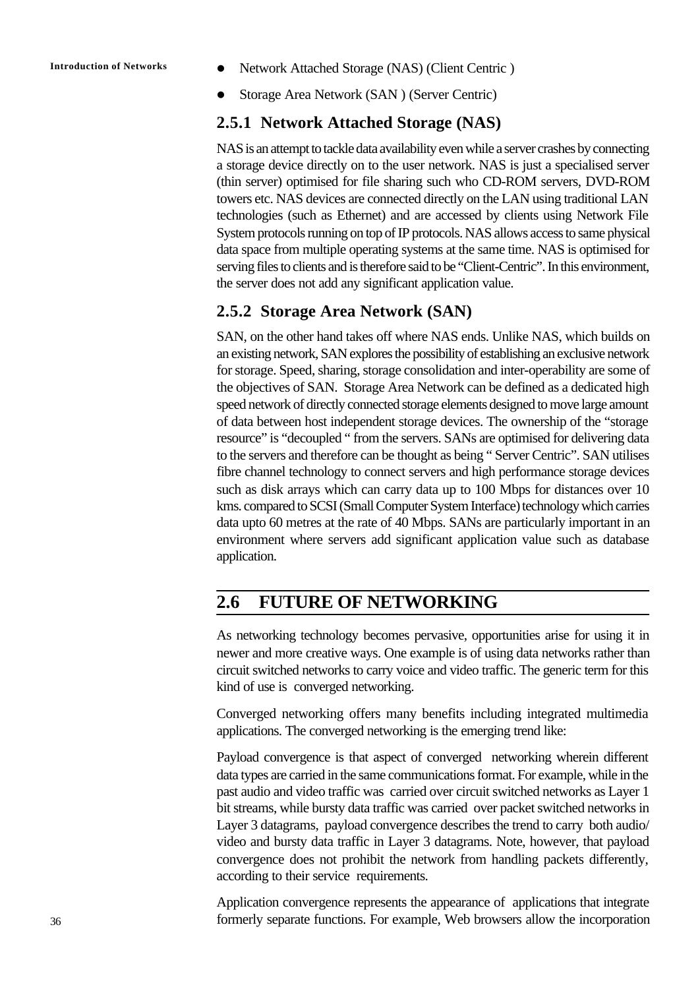- Introduction of Networks <br> **Introduction of Networks** <br> **Introduction of Networks** <br> **Integrals Network Attached Storage (NAS) (Client Centric )** 
	- l Storage Area Network (SAN ) (Server Centric)

### **2.5.1 Network Attached Storage (NAS)**

NAS is an attempt to tackle data availability even while a server crashes by connecting a storage device directly on to the user network. NAS is just a specialised server (thin server) optimised for file sharing such who CD-ROM servers, DVD-ROM towers etc. NAS devices are connected directly on the LAN using traditional LAN technologies (such as Ethernet) and are accessed by clients using Network File System protocols running on top of IP protocols. NAS allows access to same physical data space from multiple operating systems at the same time. NAS is optimised for serving files to clients and is therefore said to be "Client-Centric". In this environment, the server does not add any significant application value.

### **2.5.2 Storage Area Network (SAN)**

SAN, on the other hand takes off where NAS ends. Unlike NAS, which builds on an existing network, SAN explores the possibility of establishing an exclusive network for storage. Speed, sharing, storage consolidation and inter-operability are some of the objectives of SAN. Storage Area Network can be defined as a dedicated high speed network of directly connected storage elements designed to move large amount of data between host independent storage devices. The ownership of the "storage resource" is "decoupled " from the servers. SANs are optimised for delivering data to the servers and therefore can be thought as being " Server Centric". SAN utilises fibre channel technology to connect servers and high performance storage devices such as disk arrays which can carry data up to 100 Mbps for distances over 10 kms. compared to SCSI (Small Computer System Interface) technology which carries data upto 60 metres at the rate of 40 Mbps. SANs are particularly important in an environment where servers add significant application value such as database application.

### **2.6 FUTURE OF NETWORKING**

As networking technology becomes pervasive, opportunities arise for using it in newer and more creative ways. One example is of using data networks rather than circuit switched networks to carry voice and video traffic. The generic term for this kind of use is converged networking.

Converged networking offers many benefits including integrated multimedia applications. The converged networking is the emerging trend like:

Payload convergence is that aspect of converged networking wherein different data types are carried in the same communications format. For example, while in the past audio and video traffic was carried over circuit switched networks as Layer 1 bit streams, while bursty data traffic was carried over packet switched networks in Layer 3 datagrams, payload convergence describes the trend to carry both audio/ video and bursty data traffic in Layer 3 datagrams. Note, however, that payload convergence does not prohibit the network from handling packets differently, according to their service requirements.

Application convergence represents the appearance of applications that integrate formerly separate functions. For example, Web browsers allow the incorporation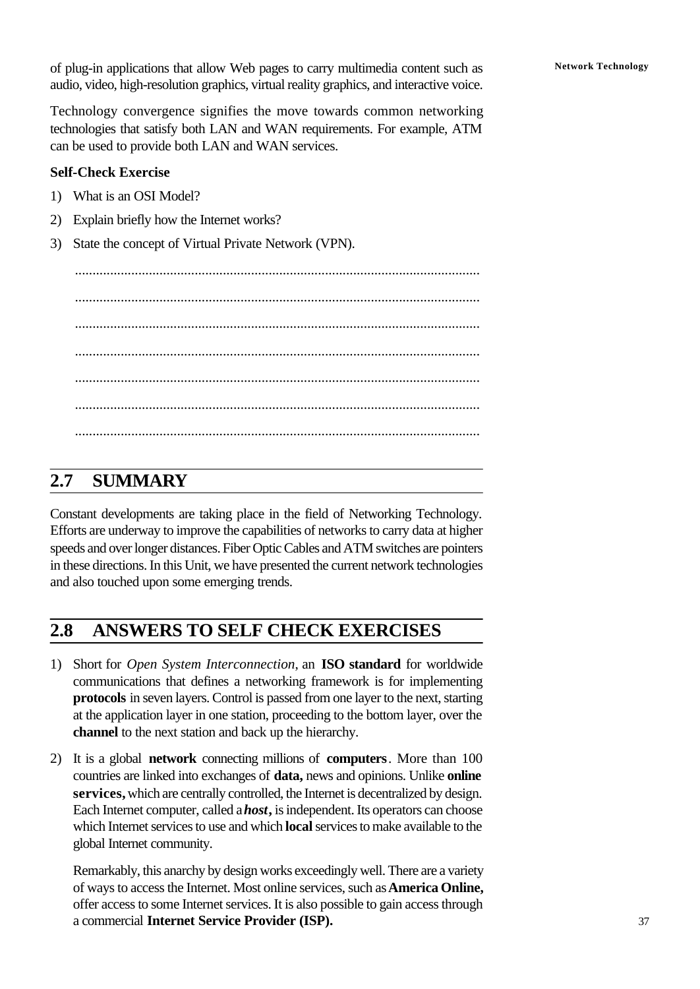of plug-in applications that allow Web pages to carry multimedia content such as **Network Technology** audio, video, high-resolution graphics, virtual reality graphics, and interactive voice.

Technology convergence signifies the move towards common networking technologies that satisfy both LAN and WAN requirements. For example, ATM can be used to provide both LAN and WAN services.

#### **Self-Check Exercise**

- 1) What is an OSI Model?
- 2) Explain briefly how the Internet works?
- 3) State the concept of Virtual Private Network (VPN).

................................................................................................................... ................................................................................................................... ................................................................................................................... ................................................................................................................... ................................................................................................................... ................................................................................................................... ...................................................................................................................

## **2.7 SUMMARY**

Constant developments are taking place in the field of Networking Technology. Efforts are underway to improve the capabilities of networks to carry data at higher speeds and over longer distances. Fiber Optic Cables and ATM switches are pointers in these directions. In this Unit, we have presented the current network technologies and also touched upon some emerging trends.

# **2.8 ANSWERS TO SELF CHECK EXERCISES**

- 1) Short for *Open System Interconnection*, an **ISO standard** for worldwide communications that defines a networking framework is for implementing **protocols** in seven layers. Control is passed from one layer to the next, starting at the application layer in one station, proceeding to the bottom layer, over the **channel** to the next station and back up the hierarchy.
- 2) It is a global **network** connecting millions of **computers**. More than 100 countries are linked into exchanges of **data,** news and opinions. Unlike **online services,** which are centrally controlled, the Internet is decentralized by design. Each Internet computer, called a *host***,** is independent. Its operators can choose which Internet services to use and which **local** services to make available to the global Internet community.

Remarkably, this anarchy by design works exceedingly well. There are a variety of ways to access the Internet. Most online services, such as **America Online,** offer access to some Internet services. It is also possible to gain access through a commercial **Internet Service Provider (ISP).**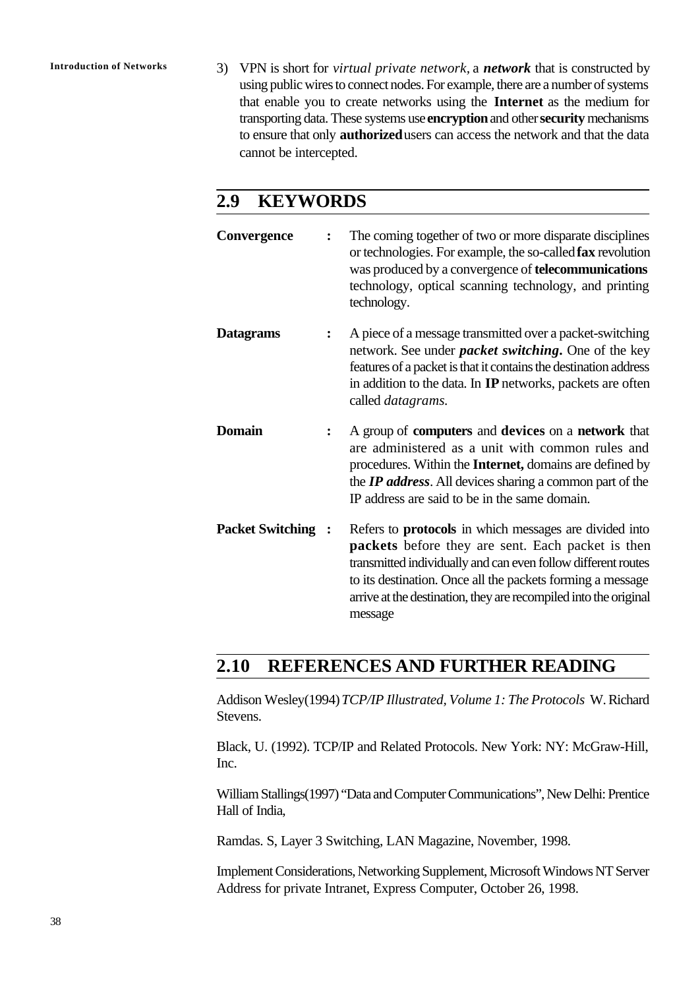**Introduction of Networks** 3) VPN is short for *virtual private network,* a *network* that is constructed by using public wires to connect nodes. For example, there are a number of systems that enable you to create networks using the **Internet** as the medium for transporting data. These systems use **encryption** and other **security** mechanisms to ensure that only **authorized** users can access the network and that the data cannot be intercepted.

### **2.9 KEYWORDS**

| Convergence               |                      | The coming together of two or more disparate disciplines<br>or technologies. For example, the so-called fax revolution<br>was produced by a convergence of <b>telecommunications</b><br>technology, optical scanning technology, and printing<br>technology.                                                                     |
|---------------------------|----------------------|----------------------------------------------------------------------------------------------------------------------------------------------------------------------------------------------------------------------------------------------------------------------------------------------------------------------------------|
| <b>Datagrams</b>          | $\ddot{\phantom{a}}$ | A piece of a message transmitted over a packet-switching<br>network. See under <i>packet switching</i> . One of the key<br>features of a packet is that it contains the destination address<br>in addition to the data. In <b>IP</b> networks, packets are often<br>called <i>datagrams</i> .                                    |
| <b>Domain</b>             |                      | A group of <b>computers</b> and <b>devices</b> on a <b>network</b> that<br>are administered as a unit with common rules and<br>procedures. Within the <b>Internet</b> , domains are defined by<br>the <b>IP</b> address. All devices sharing a common part of the<br>IP address are said to be in the same domain.               |
| <b>Packet Switching :</b> |                      | Refers to <b>protocols</b> in which messages are divided into<br>packets before they are sent. Each packet is then<br>transmitted individually and can even follow different routes<br>to its destination. Once all the packets forming a message<br>arrive at the destination, they are recompiled into the original<br>message |

# **2.10 REFERENCES AND FURTHER READING**

Addison Wesley(1994) *TCP/IP Illustrated, Volume 1: The Protocols* W. Richard Stevens.

Black, U. (1992). TCP/IP and Related Protocols. New York: NY: McGraw-Hill, Inc.

William Stallings(1997) "Data and Computer Communications", New Delhi: Prentice Hall of India,

Ramdas. S, Layer 3 Switching, LAN Magazine, November, 1998.

Implement Considerations, Networking Supplement, Microsoft Windows NT Server Address for private Intranet, Express Computer, October 26, 1998.